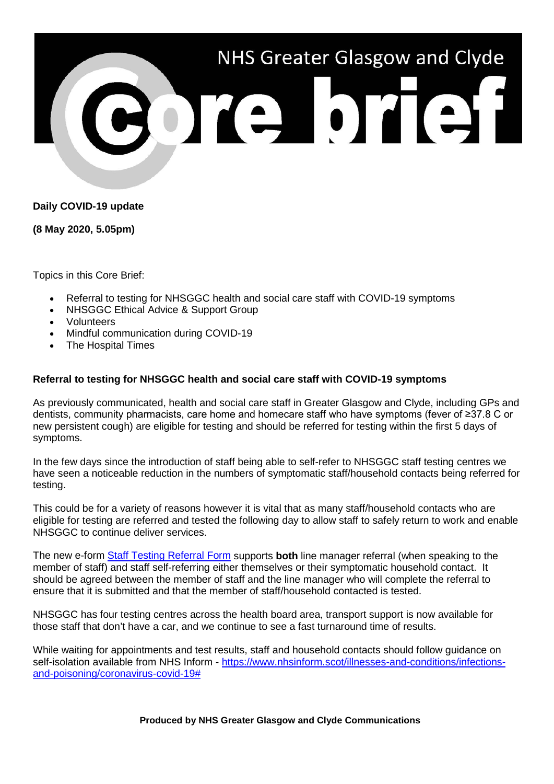

# **Daily COVID-19 update**

**(8 May 2020, 5.05pm)**

Topics in this Core Brief:

- Referral to testing for NHSGGC health and social care staff with COVID-19 symptoms
- NHSGGC Ethical Advice & Support Group
- Volunteers
- Mindful communication during COVID-19
- The Hospital Times

#### **Referral to testing for NHSGGC health and social care staff with COVID-19 symptoms**

As previously communicated, health and social care staff in Greater Glasgow and Clyde, including GPs and dentists, community pharmacists, care home and homecare staff who have symptoms (fever of ≥37.8 C or new persistent cough) are eligible for testing and should be referred for testing within the first 5 days of symptoms.

In the few days since the introduction of staff being able to self-refer to NHSGGC staff testing centres we have seen a noticeable reduction in the numbers of symptomatic staff/household contacts being referred for testing.

This could be for a variety of reasons however it is vital that as many staff/household contacts who are eligible for testing are referred and tested the following day to allow staff to safely return to work and enable NHSGGC to continue deliver services.

The new e-form [Staff Testing Referral Form](https://forms.office.com/Pages/ResponsePage.aspx?id=veDvEDCgykuAnLXmdF5JmgW9YoY5w-BDlHK7ghonYUBUN0Q0NjJDQkNSV1VHRFlWVjFDMjc1V0VaOSQlQCN0PWcu) supports **both** line manager referral (when speaking to the member of staff) and staff self-referring either themselves or their symptomatic household contact. It should be agreed between the member of staff and the line manager who will complete the referral to ensure that it is submitted and that the member of staff/household contacted is tested.

NHSGGC has four testing centres across the health board area, transport support is now available for those staff that don't have a car, and we continue to see a fast turnaround time of results.

While waiting for appointments and test results, staff and household contacts should follow guidance on self-isolation available from NHS Inform - [https://www.nhsinform.scot/illnesses-and-conditions/infections](https://www.nhsinform.scot/illnesses-and-conditions/infections-and-poisoning/coronavirus-covid-19)[and-poisoning/coronavirus-covid-19#](https://www.nhsinform.scot/illnesses-and-conditions/infections-and-poisoning/coronavirus-covid-19)

**Produced by NHS Greater Glasgow and Clyde Communications**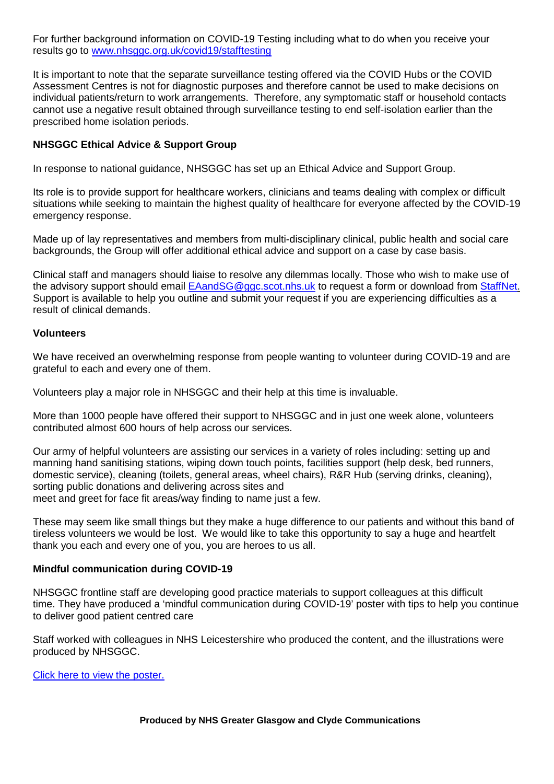For further background information on COVID-19 Testing including what to do when you receive your results go to [www.nhsggc.org.uk/covid19/stafftesting](http://www.nhsggc.org.uk/covid19/stafftesting)

It is important to note that the separate surveillance testing offered via the COVID Hubs or the COVID Assessment Centres is not for diagnostic purposes and therefore cannot be used to make decisions on individual patients/return to work arrangements. Therefore, any symptomatic staff or household contacts cannot use a negative result obtained through surveillance testing to end self-isolation earlier than the prescribed home isolation periods.

## **NHSGGC Ethical Advice & Support Group**

In response to national guidance, NHSGGC has set up an Ethical Advice and Support Group.

Its role is to provide support for healthcare workers, clinicians and teams dealing with complex or difficult situations while seeking to maintain the highest quality of healthcare for everyone affected by the COVID-19 emergency response.

Made up of lay representatives and members from multi-disciplinary clinical, public health and social care backgrounds, the Group will offer additional ethical advice and support on a case by case basis.

Clinical staff and managers should liaise to resolve any dilemmas locally. Those who wish to make use of the advisory support should email [EAandSG@ggc.scot.nhs.uk](mailto:EAandSG@ggc.scot.nhs.uk) to request a form or download from [StaffNet.](http://www.staffnet.ggc.scot.nhs.uk/Corporate%20Services/Clinical%20Governance/Key%20Information/Pages/KeyInformationUserGuides2.aspx) Support is available to help you outline and submit your request if you are experiencing difficulties as a result of clinical demands.

#### **Volunteers**

We have received an overwhelming response from people wanting to volunteer during COVID-19 and are grateful to each and every one of them.

Volunteers play a major role in NHSGGC and their help at this time is invaluable.

More than 1000 people have offered their support to NHSGGC and in just one week alone, volunteers contributed almost 600 hours of help across our services.

Our army of helpful volunteers are assisting our services in a variety of roles including: setting up and manning hand sanitising stations, wiping down touch points, facilities support (help desk, bed runners, domestic service), cleaning (toilets, general areas, wheel chairs), R&R Hub (serving drinks, cleaning), sorting public donations and delivering across sites and meet and greet for face fit areas/way finding to name just a few.

These may seem like small things but they make a huge difference to our patients and without this band of tireless volunteers we would be lost. We would like to take this opportunity to say a huge and heartfelt thank you each and every one of you, you are heroes to us all.

### **Mindful communication during COVID-19**

NHSGGC frontline staff are developing good practice materials to support colleagues at this difficult time. They have produced a 'mindful communication during COVID-19' poster with tips to help you continue to deliver good patient centred care

Staff worked with colleagues in NHS Leicestershire who produced the content, and the illustrations were produced by NHSGGC.

[Click here to view the poster.](https://www.nhsggc.org.uk/media/260381/mindful-communication-during-covid-19_070520.pdf)